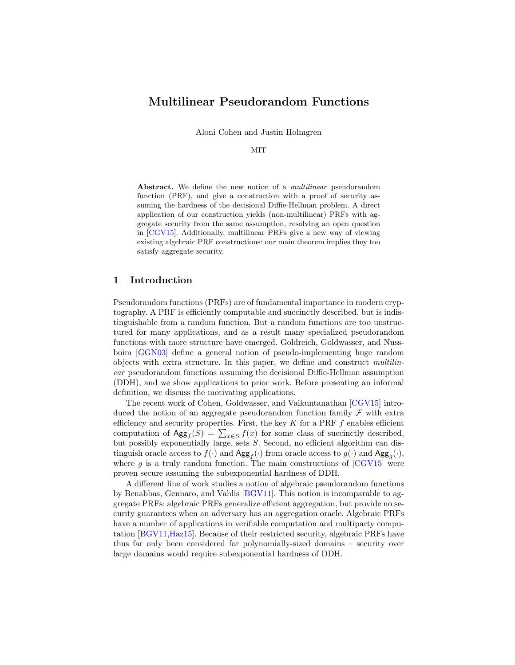# Multilinear Pseudorandom Functions

Aloni Cohen and Justin Holmgren

#### MIT

Abstract. We define the new notion of a *multilinear* pseudorandom function (PRF), and give a construction with a proof of security assuming the hardness of the decisional Diffie-Hellman problem. A direct application of our construction yields (non-multilinear) PRFs with aggregate security from the same assumption, resolving an open question in [\[CGV15\]](#page-11-0). Additionally, multilinear PRFs give a new way of viewing existing algebraic PRF constructions: our main theorem implies they too satisfy aggregate security.

### 1 Introduction

Pseudorandom functions (PRFs) are of fundamental importance in modern cryptography. A PRF is efficiently computable and succinctly described, but is indistinguishable from a random function. But a random functions are too unstructured for many applications, and as a result many specialized pseudorandom functions with more structure have emerged. Goldreich, Goldwasser, and Nussboim [\[GGN03\]](#page-11-1) define a general notion of pseudo-implementing huge random objects with extra structure. In this paper, we define and construct multilinear pseudorandom functions assuming the decisional Diffie-Hellman assumption (DDH), and we show applications to prior work. Before presenting an informal definition, we discuss the motivating applications.

The recent work of Cohen, Goldwasser, and Vaikuntanathan [\[CGV15\]](#page-11-0) introduced the notion of an aggregate pseudorandom function family  $\mathcal F$  with extra efficiency and security properties. First, the key  $K$  for a PRF  $f$  enables efficient computation of  $\text{Agg}_f(S) = \sum_{x \in S} f(x)$  for some class of succinctly described, but possibly exponentially large, sets S. Second, no efficient algorithm can distinguish oracle access to  $f(\cdot)$  and  $\text{Agg}_f(\cdot)$  from oracle access to  $g(\cdot)$  and  $\text{Agg}_g(\cdot)$ , where q is a truly random function. The main constructions of  $\left[{\rm CGV15}\right]$  were proven secure assuming the subexponential hardness of DDH.

A different line of work studies a notion of algebraic pseudorandom functions by Benabbas, Gennaro, and Vahlis [\[BGV11\]](#page-11-2). This notion is incomparable to aggregate PRFs: algebraic PRFs generalize efficient aggregation, but provide no security guarantees when an adversary has an aggregation oracle. Algebraic PRFs have a number of applications in verifiable computation and multiparty computation [\[BGV11,](#page-11-2)[Haz15\]](#page-11-3). Because of their restricted security, algebraic PRFs have thus far only been considered for polynomially-sized domains – security over large domains would require subexponential hardness of DDH.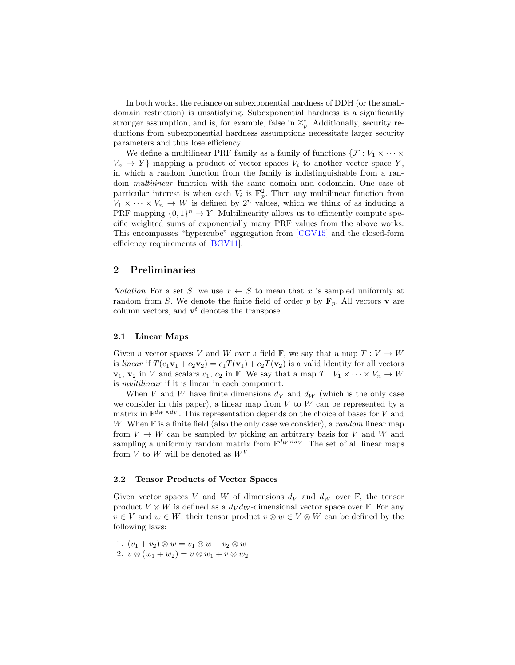In both works, the reliance on subexponential hardness of DDH (or the smalldomain restriction) is unsatisfying. Subexponential hardness is a significantly stronger assumption, and is, for example, false in  $\mathbb{Z}_p^*$ . Additionally, security reductions from subexponential hardness assumptions necessitate larger security parameters and thus lose efficiency.

We define a multilinear PRF family as a family of functions  $\{\mathcal{F}: V_1 \times \cdots \times V_n\}$  $V_n \to Y$  mapping a product of vector spaces  $V_i$  to another vector space Y, in which a random function from the family is indistinguishable from a random multilinear function with the same domain and codomain. One case of particular interest is when each  $V_i$  is  $\mathbf{F}_p^2$ . Then any multilinear function from  $V_1 \times \cdots \times V_n \to W$  is defined by  $2^n$  values, which we think of as inducing a PRF mapping  $\{0,1\}^n \to Y$ . Multilinearity allows us to efficiently compute specific weighted sums of exponentially many PRF values from the above works. This encompasses "hypercube" aggregation from [\[CGV15\]](#page-11-0) and the closed-form efficiency requirements of [\[BGV11\]](#page-11-2).

### 2 Preliminaries

*Notation* For a set S, we use  $x \leftarrow S$  to mean that x is sampled uniformly at random from S. We denote the finite field of order p by  $\mathbf{F}_p$ . All vectors **v** are column vectors, and  $\mathbf{v}^t$  denotes the transpose.

#### 2.1 Linear Maps

Given a vector spaces V and W over a field  $\mathbb{F}$ , we say that a map  $T: V \to W$ is linear if  $T(c_1\mathbf{v}_1 + c_2\mathbf{v}_2) = c_1T(\mathbf{v}_1) + c_2T(\mathbf{v}_2)$  is a valid identity for all vectors  $\mathbf{v}_1, \mathbf{v}_2$  in V and scalars  $c_1, c_2$  in F. We say that a map  $T: V_1 \times \cdots \times V_n \to W$ is multilinear if it is linear in each component.

When V and W have finite dimensions  $d_V$  and  $d_W$  (which is the only case we consider in this paper), a linear map from  $V$  to  $W$  can be represented by a matrix in  $\mathbb{F}^{d_W \times d_V}$ . This representation depends on the choice of bases for V and W. When  $F$  is a finite field (also the only case we consider), a *random* linear map from  $V \to W$  can be sampled by picking an arbitrary basis for V and W and sampling a uniformly random matrix from  $\mathbb{F}^{d_W \times d_V}$ . The set of all linear maps from V to W will be denoted as  $W^V$ .

#### 2.2 Tensor Products of Vector Spaces

Given vector spaces V and W of dimensions  $d_V$  and  $d_W$  over F, the tensor product  $V \otimes W$  is defined as a  $d_V d_W$ -dimensional vector space over F. For any  $v \in V$  and  $w \in W$ , their tensor product  $v \otimes w \in V \otimes W$  can be defined by the following laws:

1.  $(v_1 + v_2) \otimes w = v_1 \otimes w + v_2 \otimes w$ 

2. 
$$
v \otimes (w_1 + w_2) = v \otimes w_1 + v \otimes w_2
$$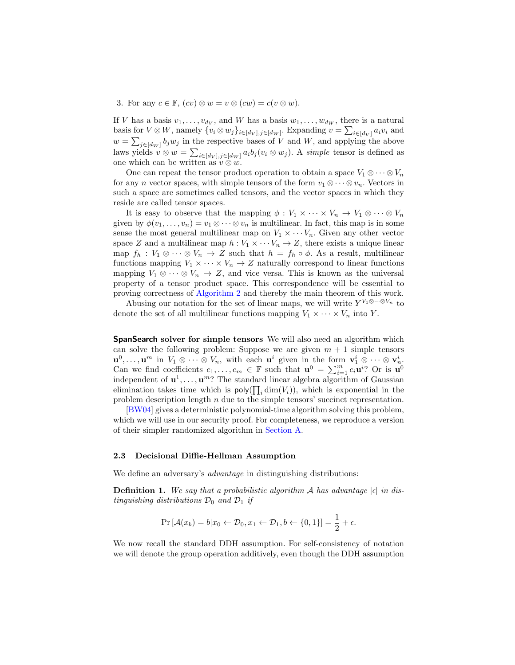3. For any  $c \in \mathbb{F}$ ,  $(cv) \otimes w = v \otimes (cw) = c(v \otimes w)$ .

If V has a basis  $v_1, \ldots, v_{d_V}$ , and W has a basis  $w_1, \ldots, w_{d_W}$ , there is a natural basis for  $V \otimes W$ , namely  $\{v_i \otimes w_j\}_{i \in [d_V], j \in [d_W]}$ . Expanding  $v = \sum_{i \in [d_V]} a_i v_i$  and  $w = \sum_{j \in [d_W]} b_j w_j$  in the respective bases of V and W, and applying the above laws yields  $v \otimes w = \sum_{i \in [dv], j \in [dw]} a_i b_j (v_i \otimes w_j)$ . A simple tensor is defined as one which can be written as  $v \otimes w$ .

One can repeat the tensor product operation to obtain a space  $V_1 \otimes \cdots \otimes V_n$ for any *n* vector spaces, with simple tensors of the form  $v_1 \otimes \cdots \otimes v_n$ . Vectors in such a space are sometimes called tensors, and the vector spaces in which they reside are called tensor spaces.

It is easy to observe that the mapping  $\phi: V_1 \times \cdots \times V_n \to V_1 \otimes \cdots \otimes V_n$ given by  $\phi(v_1,\ldots,v_n)=v_1\otimes\cdots\otimes v_n$  is multilinear. In fact, this map is in some sense the most general multilinear map on  $V_1 \times \cdots V_n$ . Given any other vector space Z and a multilinear map  $h: V_1 \times \cdots V_n \to Z$ , there exists a unique linear map  $f_h: V_1 \otimes \cdots \otimes V_n \to Z$  such that  $h = f_h \circ \phi$ . As a result, multilinear functions mapping  $V_1 \times \cdots \times V_n \to Z$  naturally correspond to linear functions mapping  $V_1 \otimes \cdots \otimes V_n \to Z$ , and vice versa. This is known as the universal property of a tensor product space. This correspondence will be essential to proving correctness of [Algorithm 2](#page-6-0) and thereby the main theorem of this work.

Abusing our notation for the set of linear maps, we will write  $Y^{V_1 \otimes \cdots \otimes V_n}$  to denote the set of all multilinear functions mapping  $V_1 \times \cdots \times V_n$  into Y.

SpanSearch solver for simple tensors We will also need an algorithm which can solve the following problem: Suppose we are given  $m + 1$  simple tensors  $\mathbf{u}^0, \ldots, \mathbf{u}^m$  in  $V_1 \otimes \cdots \otimes V_n$ , with each  $\mathbf{u}^i$  given in the form  $\mathbf{v}_1^i \otimes \cdots \otimes \mathbf{v}_n^i$ . Can we find coefficients  $c_1, \ldots, c_m \in \mathbb{F}$  such that  $\mathbf{u}^0 = \sum_{i=1}^m c_i \mathbf{u}^i$ ? Or is  $\mathbf{u}^0$ independent of  $\mathbf{u}^1, \ldots, \mathbf{u}^m$ ? The standard linear algebra algorithm of Gaussian elimination takes time which is  $\text{poly}(\prod_i \dim(V_i))$ , which is exponential in the problem description length  $n$  due to the simple tensors' succinct representation.

[\[BW04\]](#page-11-4) gives a deterministic polynomial-time algorithm solving this problem, which we will use in our security proof. For completeness, we reproduce a version of their simpler randomized algorithm in [Section A.](#page-12-0)

#### 2.3 Decisional Diffie-Hellman Assumption

We define an adversary's *advantage* in distinguishing distributions:

**Definition 1.** We say that a probabilistic algorithm A has advantage  $|\epsilon|$  in distinguishing distributions  $\mathcal{D}_0$  and  $\mathcal{D}_1$  if

$$
\Pr\left[\mathcal{A}(x_b) = b | x_0 \leftarrow \mathcal{D}_0, x_1 \leftarrow \mathcal{D}_1, b \leftarrow \{0, 1\}\right] = \frac{1}{2} + \epsilon.
$$

We now recall the standard DDH assumption. For self-consistency of notation we will denote the group operation additively, even though the DDH assumption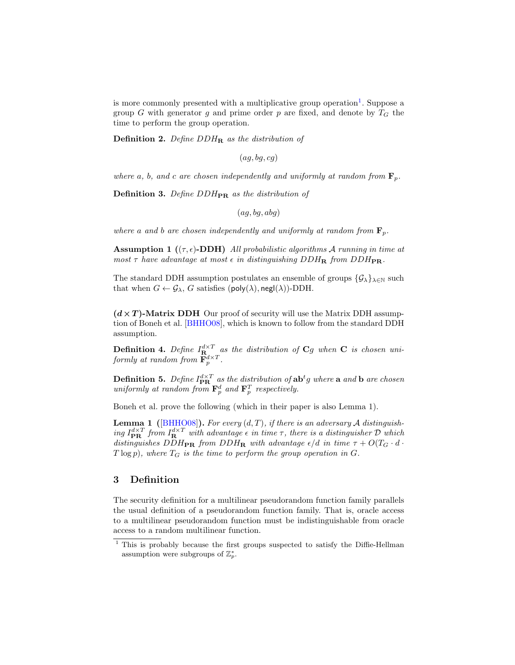is more commonly presented with a multiplicative group operation<sup>[1](#page-3-0)</sup>. Suppose a group G with generator g and prime order p are fixed, and denote by  $T_G$  the time to perform the group operation.

**Definition 2.** Define  $DDH_R$  as the distribution of

 $(ag, bg, cg)$ 

where a, b, and c are chosen independently and uniformly at random from  $\mathbf{F}_p$ .

**Definition 3.** Define  $DDH_{PR}$  as the distribution of

<span id="page-3-2"></span> $(ag, bg, abg)$ 

where a and b are chosen independently and uniformly at random from  $\mathbf{F}_p$ .

**Assumption 1** ( $(\tau, \epsilon)$ -DDH) All probabilistic algorithms A running in time at most  $\tau$  have advantage at most  $\epsilon$  in distinguishing DDH<sub>R</sub> from DDH<sub>PR</sub>.

The standard DDH assumption postulates an ensemble of groups  $\{\mathcal{G}_\lambda\}_{\lambda\in\mathbb{N}}$  such that when  $G \leftarrow \mathcal{G}_{\lambda}$ , G satisfies (poly( $\lambda$ ), negl( $\lambda$ ))-DDH.

 $(d \times T)$ -Matrix DDH Our proof of security will use the Matrix DDH assumption of Boneh et al. [\[BHHO08\]](#page-11-5), which is known to follow from the standard DDH assumption.

**Definition 4.** Define  $I_{\mathbf{R}_{\perp}}^{d \times T}$  as the distribution of  $\mathbf{C}g$  when  $\mathbf{C}$  is chosen uniformly at random from  $\mathbf{F}_p^{d\times T}$ .

**Definition 5.** Define  $I_{\text{PR}}^{d \times T}$  as the distribution of  $\text{ab}^t g$  where  $\textbf{a}$  and  $\textbf{b}$  are chosen uniformly at random from  $\mathbf{F}_p^d$  and  $\mathbf{F}_p^T$  respectively.

Boneh et al. prove the following (which in their paper is also Lemma 1).

**Lemma 1** ([\[BHHO08\]](#page-11-5)). For every  $(d, T)$ , if there is an adversary A distinguishing  $I_{\text{PR}}^{d \times T}$  from  $I_{\text{R}}^{d \times T}$  with advantage  $\epsilon$  in time  $\tau$ , there is a distinguisher  $\mathcal D$  which distinguishes  $DDH_{\text{PR}}$  from  $DDH_{\text{R}}$  with advantage  $\epsilon/d$  in time  $\tau + O(T_G \cdot d \cdot$  $T \log p$ , where  $T_G$  is the time to perform the group operation in G.

## 3 Definition

The security definition for a multilinear pseudorandom function family parallels the usual definition of a pseudorandom function family. That is, oracle access to a multilinear pseudorandom function must be indistinguishable from oracle access to a random multilinear function.

<span id="page-3-1"></span><span id="page-3-0"></span><sup>&</sup>lt;sup>1</sup> This is probably because the first groups suspected to satisfy the Diffie-Hellman assumption were subgroups of  $\mathbb{Z}_p^*$ .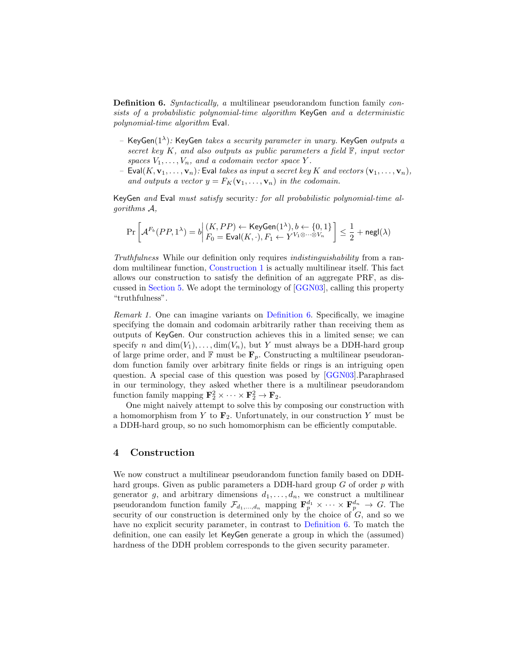**Definition 6.** Syntactically, a multilinear pseudorandom function family consists of a probabilistic polynomial-time algorithm KeyGen and a deterministic polynomial-time algorithm Eval.

- KeyGen $(1^{\lambda})$ : KeyGen takes a security parameter in unary. KeyGen outputs a secret key  $K$ , and also outputs as public parameters a field  $F$ , input vector spaces  $V_1, \ldots, V_n$ , and a codomain vector space Y.
- Eval $(K, \mathbf{v}_1, \ldots, \mathbf{v}_n)$ : Eval takes as input a secret key K and vectors  $(\mathbf{v}_1, \ldots, \mathbf{v}_n)$ , and outputs a vector  $y = F_K(\mathbf{v}_1, \dots, \mathbf{v}_n)$  in the codomain.

KeyGen and Eval must satisfy security: for all probabilistic polynomial-time algorithms A,

$$
\Pr\left[\mathcal{A}^{F_b}(PP,1^\lambda)=b \middle| \begin{matrix} (K,PP) \leftarrow \mathsf{KeyGen}(1^\lambda), b \leftarrow \{0,1\} \\ F_0 = \mathsf{Eval}(K,\cdot), F_1 \leftarrow Y^{V_1 \otimes \cdots \otimes V_n} \end{matrix} \right] \le \frac{1}{2} + \mathsf{negl}(\lambda)
$$

Truthfulness While our definition only requires indistinguishability from a random multilinear function, [Construction 1](#page-4-0) is actually multilinear itself. This fact allows our construction to satisfy the definition of an aggregate PRF, as discussed in [Section 5.](#page-9-0) We adopt the terminology of [\[GGN03\]](#page-11-1), calling this property "truthfulness".

Remark 1. One can imagine variants on [Definition 6.](#page-3-1) Specifically, we imagine specifying the domain and codomain arbitrarily rather than receiving them as outputs of KeyGen. Our construction achieves this in a limited sense; we can specify n and  $\dim(V_1), \ldots, \dim(V_n)$ , but Y must always be a DDH-hard group of large prime order, and  $\mathbb F$  must be  $\mathbf F_p$ . Constructing a multilinear pseudorandom function family over arbitrary finite fields or rings is an intriguing open question. A special case of this question was posed by [\[GGN03\]](#page-11-1).Paraphrased in our terminology, they asked whether there is a multilinear pseudorandom function family mapping  $\mathbf{F}_2^2 \times \cdots \times \mathbf{F}_2^2 \to \mathbf{F}_2$ .

One might naively attempt to solve this by composing our construction with a homomorphism from Y to  $\mathbf{F}_2$ . Unfortunately, in our construction Y must be a DDH-hard group, so no such homomorphism can be efficiently computable.

### 4 Construction

<span id="page-4-0"></span>We now construct a multilinear pseudorandom function family based on DDHhard groups. Given as public parameters a DDH-hard group  $G$  of order  $p$  with generator g, and arbitrary dimensions  $d_1, \ldots, d_n$ , we construct a multilinear pseudorandom function family  $\mathcal{F}_{d_1,...,d_n}$  mapping  $\mathbf{F}_p^{d_1} \times \cdots \times \mathbf{F}_p^{d_n} \to G$ . The security of our construction is determined only by the choice of  $G$ , and so we have no explicit security parameter, in contrast to [Definition 6.](#page-3-1) To match the definition, one can easily let KeyGen generate a group in which the (assumed) hardness of the DDH problem corresponds to the given security parameter.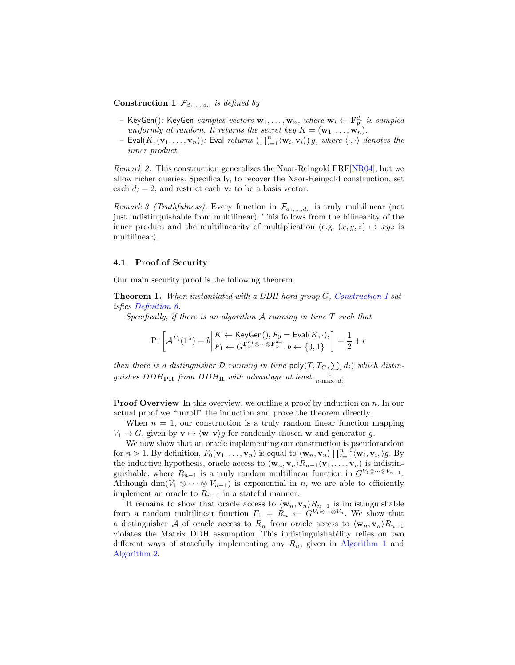### **Construction 1**  $\mathcal{F}_{d_1,...,d_n}$  is defined by

- KeyGen $()$ : KeyGen samples vectors  $w_1, \ldots, w_n$ , where  $w_i \leftarrow \mathbf{F}_p^{d_i}$  is sampled uniformly at random. It returns the secret key  $K = (\mathbf{w}_1, \dots, \mathbf{w}_n)$ .
- Eval $(K, (\mathbf{v}_1, \dots, \mathbf{v}_n))$ : Eval returns  $(\prod_{i=1}^n \langle \mathbf{w}_i, \mathbf{v}_i \rangle)$  g, where  $\langle \cdot, \cdot \rangle$  denotes the inner product.

Remark 2. This construction generalizes the Naor-Reingold PRF[\[NR04\]](#page-11-6), but we allow richer queries. Specifically, to recover the Naor-Reingold construction, set each  $d_i = 2$ , and restrict each  $v_i$  to be a basis vector.

Remark 3 (Truthfulness). Every function in  $\mathcal{F}_{d_1,...,d_n}$  is truly multilinear (not just indistinguishable from multilinear). This follows from the bilinearity of the inner product and the multilinearity of multiplication (e.g.  $(x, y, z) \mapsto xyz$  is multilinear).

#### 4.1 Proof of Security

Our main security proof is the following theorem.

Theorem 1. When instantiated with a DDH-hard group G, [Construction 1](#page-4-0) satisfies [Definition 6.](#page-3-1)

Specifically, if there is an algorithm  $A$  running in time  $T$  such that

<span id="page-5-0"></span>
$$
\Pr\left[\mathcal{A}^{F_b}(1^\lambda)=b \middle| \begin{matrix} K \leftarrow \mathsf{KeyGen}(), F_0 = \mathsf{Eval}(K, \cdot),\\ F_1 \leftarrow G^{\mathbf{F}_p^{d_1} \otimes \cdots \otimes \mathbf{F}_p^{d_n}}, b \leftarrow \{0,1\} \end{matrix} \right] = \frac{1}{2} + \epsilon
$$

then there is a distinguisher  $D$  running in time  $\textsf{poly}(T, T_G, \sum_i d_i)$  which distinguishes DDH<sub>PR</sub> from DDH<sub>R</sub> with advantage at least  $\frac{|\epsilon|}{n \cdot \max_i d_i}$ .

**Proof Overview** In this overview, we outline a proof by induction on n. In our actual proof we "unroll" the induction and prove the theorem directly.

When  $n = 1$ , our construction is a truly random linear function mapping  $V_1 \rightarrow G$ , given by  $\mathbf{v} \mapsto \langle \mathbf{w}, \mathbf{v} \rangle g$  for randomly chosen **w** and generator g.

We now show that an oracle implementing our construction is pseudorandom for  $n > 1$ . By definition,  $F_0(\mathbf{v}_1, \ldots, \mathbf{v}_n)$  is equal to  $\langle \mathbf{w}_n, \mathbf{v}_n \rangle \prod_{i=1}^{n-1} \langle \mathbf{w}_i, \mathbf{v}_i, \rangle g$ . By the inductive hypothesis, oracle access to  $\langle \mathbf{w}_n, \mathbf{v}_n \rangle R_{n-1}(\mathbf{v}_1, \dots, \mathbf{v}_n)$  is indistinguishable, where  $R_{n-1}$  is a truly random multilinear function in  $G^{V_1 \otimes \cdots \otimes V_{n-1}}$ . Although dim( $V_1 \otimes \cdots \otimes V_{n-1}$ ) is exponential in n, we are able to efficiently implement an oracle to  $R_{n-1}$  in a stateful manner.

It remains to show that oracle access to  $\langle \mathbf{w}_n, \mathbf{v}_n \rangle R_{n-1}$  is indistinguishable from a random multilinear function  $F_1 = R_n \leftarrow G^{V_1 \otimes \cdots \otimes V_n}$ . We show that a distinguisher A of oracle access to  $R_n$  from oracle access to  $\langle \mathbf{w}_n, \mathbf{v}_n \rangle R_{n-1}$ violates the Matrix DDH assumption. This indistinguishability relies on two different ways of statefully implementing any  $R_n$ , given in [Algorithm 1](#page-6-1) and [Algorithm 2.](#page-6-0)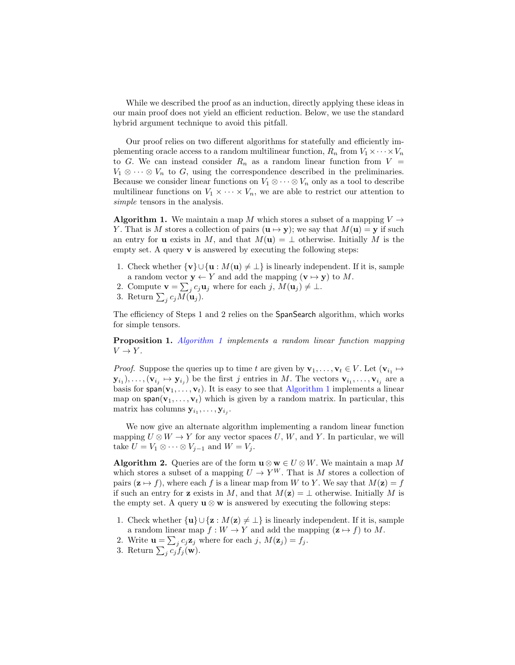While we described the proof as an induction, directly applying these ideas in our main proof does not yield an efficient reduction. Below, we use the standard hybrid argument technique to avoid this pitfall.

Our proof relies on two different algorithms for statefully and efficiently implementing oracle access to a random multilinear function,  $R_n$  from  $V_1 \times \cdots \times V_n$ to G. We can instead consider  $R_n$  as a random linear function from  $V =$  $V_1 \otimes \cdots \otimes V_n$  to G, using the correspondence described in the preliminaries. Because we consider linear functions on  $V_1 \otimes \cdots \otimes V_n$  only as a tool to describe multilinear functions on  $V_1 \times \cdots \times V_n$ , we are able to restrict our attention to simple tensors in the analysis.

<span id="page-6-1"></span>**Algorithm 1.** We maintain a map M which stores a subset of a mapping  $V \rightarrow$ Y. That is M stores a collection of pairs  $(\mathbf{u} \mapsto \mathbf{y})$ ; we say that  $M(\mathbf{u}) = \mathbf{y}$  if such an entry for **u** exists in M, and that  $M(\mathbf{u}) = \perp$  otherwise. Initially M is the empty set. A query  $\bf{v}$  is answered by executing the following steps:

- 1. Check whether  $\{v\} \cup \{u : M(u) \neq \bot\}$  is linearly independent. If it is, sample a random vector  $y \leftarrow Y$  and add the mapping  $(v \mapsto y)$  to M.
- 2. Compute  $\mathbf{v} = \sum_j c_j \mathbf{u}_j$  where for each  $j, M(\mathbf{u}_j) \neq \perp$ .
- <span id="page-6-3"></span>3. Return  $\sum_j c_j M(\mathbf{u}_j)$ .

The efficiency of Steps 1 and 2 relies on the SpanSearch algorithm, which works for simple tensors.

**Proposition 1.** [Algorithm 1](#page-6-1) implements a random linear function mapping  $V \to Y$ .

*Proof.* Suppose the queries up to time t are given by  $\mathbf{v}_1, \ldots, \mathbf{v}_t \in V$ . Let  $(\mathbf{v}_{i_1} \mapsto$  $(\mathbf{y}_{i_1}), \ldots, (\mathbf{v}_{i_j} \mapsto \mathbf{y}_{i_j})$  be the first j entries in M. The vectors  $\mathbf{v}_{i_1}, \ldots, \mathbf{v}_{i_j}$  are a basis for span( $v_1, \ldots, v_t$ ). It is easy to see that [Algorithm 1](#page-6-1) implements a linear map on  $\text{span}(v_1, \ldots, v_t)$  which is given by a random matrix. In particular, this matrix has columns  $y_{i_1}, \ldots, y_{i_j}$ .

<span id="page-6-0"></span>We now give an alternate algorithm implementing a random linear function mapping  $U \otimes W \to Y$  for any vector spaces U, W, and Y. In particular, we will take  $U = V_1 \otimes \cdots \otimes V_{j-1}$  and  $W = V_j$ .

**Algorithm 2.** Queries are of the form  $\mathbf{u} \otimes \mathbf{w} \in U \otimes W$ . We maintain a map M which stores a subset of a mapping  $U \to Y^W$ . That is M stores a collection of pairs  $(z \mapsto f)$ , where each f is a linear map from W to Y. We say that  $M(z) = f$ if such an entry for z exists in M, and that  $M(\mathbf{z}) = \perp$  otherwise. Initially M is the empty set. A query  $\mathbf{u} \otimes \mathbf{w}$  is answered by executing the following steps:

- 1. Check whether  $\{u\} \cup \{z : M(z) \neq \bot\}$  is linearly independent. If it is, sample a random linear map  $f : W \to Y$  and add the mapping  $(\mathbf{z} \mapsto f)$  to M.
- 2. Write  $\mathbf{u} = \sum_j c_j \mathbf{z}_j$  where for each j,  $M(\mathbf{z}_j) = f_j$ .
- <span id="page-6-2"></span>3. Return  $\sum_j c_j f_j(\mathbf{w})$ .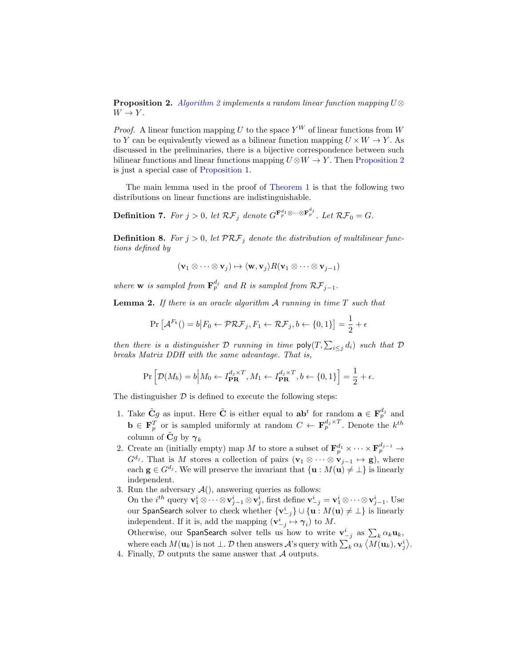**Proposition 2.** [Algorithm 2](#page-6-0) implements a random linear function mapping  $U$  $\otimes$  $W \to Y$ .

*Proof.* A linear function mapping U to the space  $Y^W$  of linear functions from W to Y can be equivalently viewed as a bilinear function mapping  $U \times W \rightarrow Y$ . As discussed in the preliminaries, there is a bijective correspondence between such bilinear functions and linear functions mapping  $U \otimes W \to Y$ . Then [Proposition 2](#page-6-2) is just a special case of [Proposition 1.](#page-6-3)

The main lemma used in the proof of [Theorem 1](#page-5-0) is that the following two distributions on linear functions are indistinguishable.

**Definition 7.** For  $j > 0$ , let  $\mathcal{RF}_j$  denote  $G^{\mathbf{F}_p^{d_1} \otimes \cdots \otimes \mathbf{F}_p^{d_j}}$ . Let  $\mathcal{RF}_0 = G$ .

**Definition 8.** For  $j > 0$ , let  $PRF_j$  denote the distribution of multilinear functions defined by

$$
(\mathbf{v}_1 \otimes \cdots \otimes \mathbf{v}_j) \mapsto \langle \mathbf{w}, \mathbf{v}_j \rangle R(\mathbf{v}_1 \otimes \cdots \otimes \mathbf{v}_{j-1})
$$

where **w** is sampled from  $\mathbf{F}_p^{d_j}$  and R is sampled from  $\mathcal{RF}_{j-1}$ .

<span id="page-7-0"></span>**Lemma 2.** If there is an oracle algorithm  $A$  running in time  $T$  such that

$$
\Pr\left[\mathcal{A}^{F_b}\left(\right) = b \middle| F_0 \leftarrow \mathcal{PRF}_j, F_1 \leftarrow \mathcal{RF}_j, b \leftarrow \{0, 1\}\right] = \frac{1}{2} + \epsilon
$$

then there is a distinguisher  $D$  running in time  $\mathsf{poly}(T, \sum_{i \leq j} d_i)$  such that  $D$ breaks Matrix DDH with the same advantage. That is,

$$
\Pr\left[\mathcal{D}(M_b) = b \middle| M_0 \leftarrow I_{\mathbf{PR}}^{d_j \times T}, M_1 \leftarrow I_{\mathbf{PR}}^{d_j \times T}, b \leftarrow \{0, 1\}\right] = \frac{1}{2} + \epsilon.
$$

The distinguisher  $\mathcal D$  is defined to execute the following steps:

- 1. Take  $\tilde{C}g$  as input. Here  $\tilde{C}$  is either equal to  $ab^t$  for random  $a \in \mathbf{F}_p^{d_j}$  and  $\mathbf{b} \in \mathbf{F}_p^T$  or is sampled uniformly at random  $C \leftarrow \mathbf{F}_p^{d_j \times T}$ . Denote the  $k^{th}$ column of  $\tilde{C}g$  by  $\gamma_k$
- 2. Create an (initially empty) map M to store a subset of  $\mathbf{F}_p^{d_1} \times \cdots \times \mathbf{F}_p^{d_{j-1}} \to$  $G^{d_j}$ . That is M stores a collection of pairs  $(\mathbf{v}_1 \otimes \cdots \otimes \mathbf{v}_{j-1} \mapsto \mathbf{g})$ , where each  $g \in G^{d_j}$ . We will preserve the invariant that  $\{u : M(u) \neq \bot\}$  is linearly independent.
- 3. Run the adversary  $\mathcal{A}()$ , answering queries as follows: On the  $i^{th}$  query  $\mathbf{v}_1^i \otimes \cdots \otimes \mathbf{v}_{j-1}^i \otimes \mathbf{v}_j^i$ , first define  $\mathbf{v}_{-j}^i = \mathbf{v}_1^i \otimes \cdots \otimes \mathbf{v}_{j-1}^i$ . Use our <code>SpanSearch</code> solver to check whether  $\{{\bf v}^i_{-j}\}\cup\{{\bf u}:M({\bf u})\neq\bot\}$  is linearly independent. If it is, add the mapping  $(\mathbf{v}_{-j}^i \mapsto \gamma_i)$  to M. Otherwise, our SpanSearch solver tells us how to write  $\mathbf{v}_{-j}^i$  as  $\sum_k \alpha_k \mathbf{u}_k$ , where each  $M(\mathbf{u}_k)$  is not  $\perp$ .  $\mathcal D$  then answers  $\mathcal A$ 's query with  $\sum_k \alpha_k \langle M(\mathbf{u}_k), \mathbf{v}_j^i \rangle$ .
- 4. Finally,  $D$  outputs the same answer that  $A$  outputs.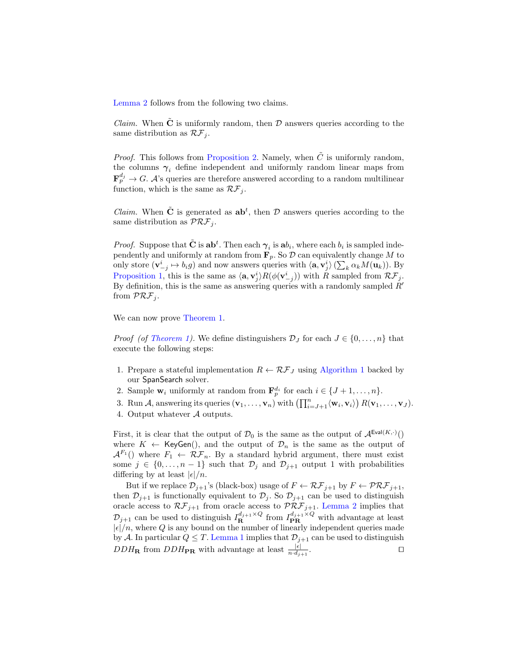[Lemma 2](#page-7-0) follows from the following two claims.

*Claim.* When  $\tilde{C}$  is uniformly random, then  $D$  answers queries according to the same distribution as  $\mathcal{RF}_i$ .

*Proof.* This follows from [Proposition 2.](#page-6-2) Namely, when  $\tilde{C}$  is uniformly random, the columns  $\gamma_i$  define independent and uniformly random linear maps from  ${\bf F}_p^{d_j} \rightarrow G$ . A's queries are therefore answered according to a random multilinear function, which is the same as  $\mathcal{RF}_i$ .

*Claim.* When  $\tilde{C}$  is generated as  $ab^t$ , then  $D$  answers queries according to the same distribution as  $\mathcal{PRF}_i$ .

*Proof.* Suppose that  $\tilde{C}$  is  $ab^t$ . Then each  $\gamma_i$  is  $ab_i$ , where each  $b_i$  is sampled independently and uniformly at random from  $\mathbf{F}_p$ . So  $\mathcal{D}$  can equivalently change M to only store  $(\mathbf{v}_{-j}^i \mapsto b_i g)$  and now answers queries with  $\langle \mathbf{a}, \mathbf{v}_j^i \rangle (\sum_k \alpha_k M(\mathbf{u}_k))$ . By [Proposition 1,](#page-6-3) this is the same as  $\langle \mathbf{a}, \mathbf{v}_j^i \rangle R(\phi(\mathbf{v}_{-j}^i))$  with R sampled from  $\mathcal{RF}_j$ . By definition, this is the same as answering queries with a randomly sampled  $R'$ from  $\mathcal{PRF}_i$ .

We can now prove [Theorem 1.](#page-5-0)

*Proof (of [Theorem 1\)](#page-5-0).* We define distinguishers  $\mathcal{D}_I$  for each  $J \in \{0, \ldots, n\}$  that execute the following steps:

- 1. Prepare a stateful implementation  $R \leftarrow \mathcal{RF}_J$  using [Algorithm 1](#page-6-1) backed by our SpanSearch solver.
- 2. Sample  $\mathbf{w}_i$  uniformly at random from  $\mathbf{F}_p^{d_i}$  for each  $i \in \{J+1,\ldots,n\}$ .
- 3. Run A, answering its queries  $(\mathbf{v}_1, \ldots, \mathbf{v}_n)$  with  $\left(\prod_{i=J+1}^n \langle \mathbf{w}_i, \mathbf{v}_i \rangle\right) R(\mathbf{v}_1, \ldots, \mathbf{v}_J)$ .
- 4. Output whatever A outputs.

First, it is clear that the output of  $\mathcal{D}_0$  is the same as the output of  $\mathcal{A}^{\text{Eval}(K,\cdot)}()$ where  $K \leftarrow \mathsf{KeyGen}()$ , and the output of  $\mathcal{D}_n$  is the same as the output of  $\mathcal{A}^{F_1}$  () where  $F_1 \leftarrow \mathcal{RF}_n$ . By a standard hybrid argument, there must exist some  $j \in \{0, ..., n-1\}$  such that  $\mathcal{D}_j$  and  $\mathcal{D}_{j+1}$  output 1 with probabilities differing by at least  $|\epsilon|/n$ .

But if we replace  $\mathcal{D}_{j+1}$ 's (black-box) usage of  $F \leftarrow \mathcal{RF}_{j+1}$  by  $F \leftarrow \mathcal{PRF}_{j+1}$ , then  $\mathcal{D}_{j+1}$  is functionally equivalent to  $\mathcal{D}_j$ . So  $\mathcal{D}_{j+1}$  can be used to distinguish oracle access to  $\mathcal{RF}_{j+1}$  from oracle access to  $\mathcal{PRF}_{j+1}$ . [Lemma 2](#page-7-0) implies that  $\mathcal{D}_{j+1}$  can be used to distinguish  $I_{\mathbf{R}}^{d_{j+1}\times Q}$  from  $I_{\mathbf{PR}}^{d_{j+1}\times Q}$  with advantage at least  $|\epsilon|/n$ , where Q is any bound on the number of linearly independent queries made by A. In particular  $Q \leq T$ . [Lemma 1](#page-3-2) implies that  $\mathcal{D}_{j+1}$  can be used to distinguish  $DDH_{\mathbf{R}}$  from  $DDH_{\mathbf{PR}}$  with advantage at least  $\frac{|\epsilon|}{n \cdot d_{j+1}}$ . The contract of  $\Box$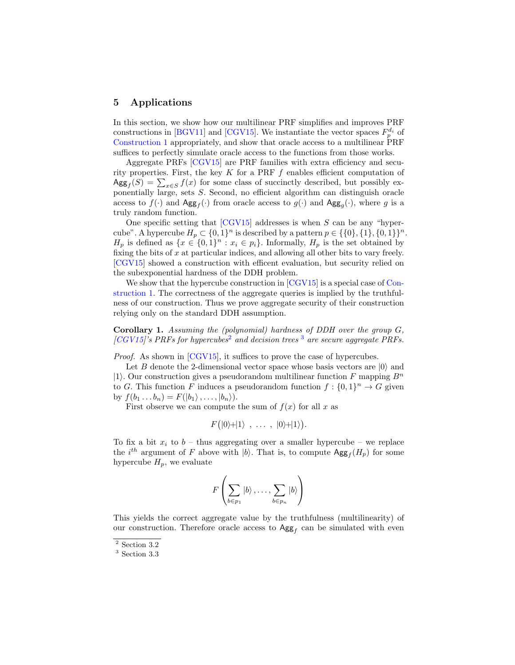### <span id="page-9-0"></span>5 Applications

In this section, we show how our multilinear PRF simplifies and improves PRF constructions in [\[BGV11\]](#page-11-2) and [\[CGV15\]](#page-11-0). We instantiate the vector spaces  $F_p^{d_i}$  of [Construction 1](#page-4-0) appropriately, and show that oracle access to a multilinear PRF suffices to perfectly simulate oracle access to the functions from those works.

Aggregate PRFs [\[CGV15\]](#page-11-0) are PRF families with extra efficiency and security properties. First, the key  $K$  for a PRF  $f$  enables efficient computation of  $\operatorname{Agg}_f(S) = \sum_{x \in S} f(x)$  for some class of succinctly described, but possibly exponentially large, sets S. Second, no efficient algorithm can distinguish oracle access to  $f(\cdot)$  and  $\text{Agg}_f(\cdot)$  from oracle access to  $g(\cdot)$  and  $\text{Agg}_g(\cdot)$ , where g is a truly random function.

One specific setting that  $[CGV15]$  addresses is when S can be any "hypercube". A hypercube  $H_p \subset \{0,1\}^n$  is described by a pattern  $p \in \{\{0\},\{1\},\{0,1\}\}^n$ .  $H_p$  is defined as  $\{x \in \{0,1\}^n : x_i \in p_i\}$ . Informally,  $H_p$  is the set obtained by fixing the bits of  $x$  at particular indices, and allowing all other bits to vary freely. [\[CGV15\]](#page-11-0) showed a construction with efficent evaluation, but security relied on the subexponential hardness of the DDH problem.

We show that the hypercube construction in  $|CGV15|$  is a special case of [Con](#page-4-0)[struction 1.](#page-4-0) The correctness of the aggregate queries is implied by the truthfulness of our construction. Thus we prove aggregate security of their construction relying only on the standard DDH assumption.

Corollary 1. Assuming the (polynomial) hardness of DDH over the group G,  $[CGV15]$ 's PRFs for hypercubes<sup>[2](#page-9-1)</sup> and decision trees<sup>[3](#page-9-2)</sup> are secure aggregate PRFs.

*Proof.* As shown in [\[CGV15\]](#page-11-0), it suffices to prove the case of hypercubes.

Let B denote the 2-dimensional vector space whose basis vectors are  $|0\rangle$  and  $|1\rangle$ . Our construction gives a pseudorandom multilinear function F mapping  $B^n$ to G. This function F induces a pseudorandom function  $f: \{0,1\}^n \to G$  given by  $f(b_1 \ldots b_n) = F(|b_1\rangle, \ldots, |b_n\rangle).$ 

First observe we can compute the sum of  $f(x)$  for all x as

$$
F(|0\rangle + |1\rangle \, , \, \ldots \, , \, |0\rangle + |1\rangle).
$$

To fix a bit  $x_i$  to  $b$  – thus aggregating over a smaller hypercube – we replace the  $i^{th}$  argument of F above with  $|b\rangle$ . That is, to compute  $\mathsf{Agg}_f(H_p)$  for some hypercube  $H_p$ , we evaluate

$$
F\left(\sum_{b\in p_1}|b\rangle,\ldots,\sum_{b\in p_n}|b\rangle\right)
$$

This yields the correct aggregate value by the truthfulness (multilinearity) of our construction. Therefore oracle access to  $\text{Agg}_f$  can be simulated with even

<span id="page-9-1"></span><sup>2</sup> Section 3.2

<span id="page-9-2"></span><sup>3</sup> Section 3.3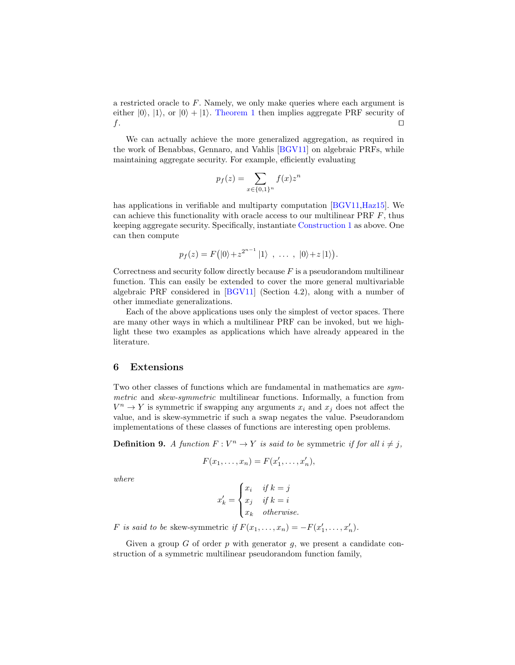a restricted oracle to F. Namely, we only make queries where each argument is either  $|0\rangle$ ,  $|1\rangle$ , or  $|0\rangle + |1\rangle$ . [Theorem 1](#page-5-0) then implies aggregate PRF security of  $f$ .

We can actually achieve the more generalized aggregation, as required in the work of Benabbas, Gennaro, and Vahlis [\[BGV11\]](#page-11-2) on algebraic PRFs, while maintaining aggregate security. For example, efficiently evaluating

$$
p_f(z) = \sum_{x \in \{0,1\}^n} f(x) z^n
$$

has applications in verifiable and multiparty computation [\[BGV11,](#page-11-2)[Haz15\]](#page-11-3). We can achieve this functionality with oracle access to our multilinear PRF  $F$ , thus keeping aggregate security. Specifically, instantiate [Construction 1](#page-4-0) as above. One can then compute

$$
p_f(z) = F(|0\rangle + z^{2^{n-1}}|1\rangle \, , \, \ldots \, , \, |0\rangle + z|1\rangle).
$$

Correctness and security follow directly because  $F$  is a pseudorandom multilinear function. This can easily be extended to cover the more general multivariable algebraic PRF considered in [\[BGV11\]](#page-11-2) (Section 4.2), along with a number of other immediate generalizations.

Each of the above applications uses only the simplest of vector spaces. There are many other ways in which a multilinear PRF can be invoked, but we highlight these two examples as applications which have already appeared in the literature.

### 6 Extensions

Two other classes of functions which are fundamental in mathematics are symmetric and skew-symmetric multilinear functions. Informally, a function from  $V^n \to Y$  is symmetric if swapping any arguments  $x_i$  and  $x_j$  does not affect the value, and is skew-symmetric if such a swap negates the value. Pseudorandom implementations of these classes of functions are interesting open problems.

**Definition 9.** A function  $F: V^n \to Y$  is said to be symmetric if for all  $i \neq j$ ,

$$
F(x_1,\ldots,x_n)=F(x'_1,\ldots,x'_n),
$$

where

<span id="page-10-0"></span>
$$
x'_k = \begin{cases} x_i & \text{if } k = j \\ x_j & \text{if } k = i \\ x_k & \text{otherwise.} \end{cases}
$$

F is said to be skew-symmetric if  $F(x_1, \ldots, x_n) = -F(x'_1, \ldots, x'_n)$ .

Given a group  $G$  of order  $p$  with generator  $g$ , we present a candidate construction of a symmetric multilinear pseudorandom function family,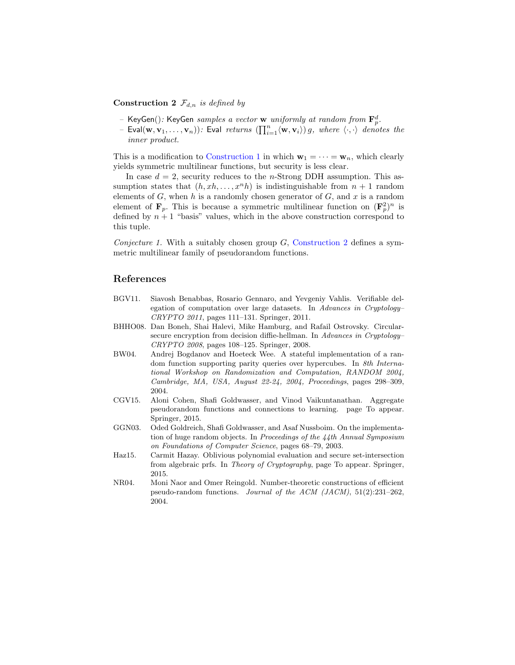#### **Construction 2**  $\mathcal{F}_{d,n}$  is defined by

- KeyGen(): KeyGen samples a vector **w** uniformly at random from  $\mathbf{F}_p^d$ .
- Eval $(\mathbf{w}, \mathbf{v}_1, \ldots, \mathbf{v}_n)$ : Eval returns  $(\prod_{i=1}^n \langle \mathbf{w}, \mathbf{v}_i \rangle)$  g, where  $\langle \cdot, \cdot \rangle$  denotes the inner product.

This is a modification to [Construction 1](#page-4-0) in which  $\mathbf{w}_1 = \cdots = \mathbf{w}_n$ , which clearly yields symmetric multilinear functions, but security is less clear.

In case  $d = 2$ , security reduces to the *n*-Strong DDH assumption. This assumption states that  $(h, xh, \ldots, x^n h)$  is indistinguishable from  $n + 1$  random elements of  $G$ , when h is a randomly chosen generator of  $G$ , and x is a random element of  $\mathbf{F}_p$ . This is because a symmetric multilinear function on  $(\mathbf{F}_p^2)^n$  is defined by  $n + 1$  "basis" values, which in the above construction correspond to this tuple.

Conjecture 1. With a suitably chosen group  $G$ , [Construction 2](#page-10-0) defines a symmetric multilinear family of pseudorandom functions.

#### References

- <span id="page-11-2"></span>BGV11. Siavosh Benabbas, Rosario Gennaro, and Yevgeniy Vahlis. Verifiable delegation of computation over large datasets. In Advances in Cryptology– CRYPTO 2011, pages 111–131. Springer, 2011.
- <span id="page-11-5"></span>BHHO08. Dan Boneh, Shai Halevi, Mike Hamburg, and Rafail Ostrovsky. Circularsecure encryption from decision diffie-hellman. In Advances in Cryptology-CRYPTO 2008, pages 108–125. Springer, 2008.
- <span id="page-11-4"></span>BW04. Andrej Bogdanov and Hoeteck Wee. A stateful implementation of a random function supporting parity queries over hypercubes. In 8th International Workshop on Randomization and Computation, RANDOM 2004, Cambridge, MA, USA, August 22-24, 2004, Proceedings, pages 298–309, 2004.
- <span id="page-11-0"></span>CGV15. Aloni Cohen, Shafi Goldwasser, and Vinod Vaikuntanathan. Aggregate pseudorandom functions and connections to learning. page To appear. Springer, 2015.
- <span id="page-11-1"></span>GGN03. Oded Goldreich, Shafi Goldwasser, and Asaf Nussboim. On the implementation of huge random objects. In Proceedings of the 44th Annual Symposium on Foundations of Computer Science, pages 68–79, 2003.
- <span id="page-11-3"></span>Haz15. Carmit Hazay. Oblivious polynomial evaluation and secure set-intersection from algebraic prfs. In Theory of Cryptography, page To appear. Springer, 2015.
- <span id="page-11-6"></span>NR04. Moni Naor and Omer Reingold. Number-theoretic constructions of efficient pseudo-random functions. Journal of the ACM (JACM),  $51(2):231-262$ , 2004.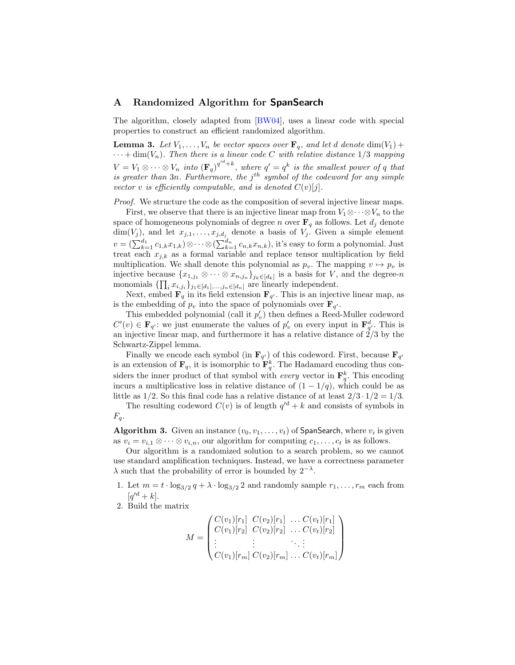### <span id="page-12-0"></span>A Randomized Algorithm for SpanSearch

<span id="page-12-1"></span>The algorithm, closely adapted from [\[BW04\]](#page-11-4), uses a linear code with special properties to construct an efficient randomized algorithm.

**Lemma 3.** Let  $V_1, \ldots, V_n$  be vector spaces over  $\mathbf{F}_q$ , and let d denote  $\dim(V_1)$  +  $\cdots$  + dim(V<sub>n</sub>). Then there is a linear code C with relative distance 1/3 mapping  $V = V_1 \otimes \cdots \otimes V_n$  into  $(\mathbf{F}_q)^{q^{d}+k}$ , where  $q' = q^k$  is the smallest power of q that is greater than  $3n$ . Furthermore, the  $j<sup>th</sup>$  symbol of the codeword for any simple vector v is efficiently computable, and is denoted  $C(v)[j]$ .

Proof. We structure the code as the composition of several injective linear maps.

First, we observe that there is an injective linear map from  $V_1 \otimes \cdots \otimes V_n$  to the space of homogeneous polynomials of degree n over  $\mathbf{F}_q$  as follows. Let  $d_j$  denote  $\dim(V_j)$ , and let  $x_{j,1}, \ldots, x_{j,d_j}$  denote a basis of  $V_j$ . Given a simple element  $v = (\sum_{k=1}^{d_1} c_{1,k} x_{1,k}) \otimes \cdots \otimes (\sum_{k=1}^{d_n} c_{n,k} x_{n,k}),$  it's easy to form a polynomial. Just treat each  $x_{j,k}$  as a formal variable and replace tensor multiplication by field multiplication. We shall denote this polynomial as  $p_v$ . The mapping  $v \mapsto p_v$  is injective because  $\{x_{1,j_1} \otimes \cdots \otimes x_{n,j_n}\}_{j_k \in [d_k]}$  is a basis for V, and the degree-n monomials  $\{\prod_i x_{i,j_i}\}_{j_1 \in [d_1],...,j_n \in [d_n]}$  are linearly independent.

Next, embed  $\mathbf{F}_q$  in its field extension  $\mathbf{F}_{q'}$ . This is an injective linear map, as is the embedding of  $p_v$  into the space of polynomials over  $\mathbf{F}_{q'}$ .

This embedded polynomial (call it  $p'_v$ ) then defines a Reed-Muller codeword  $C'(v) \in \mathbf{F}_{q'}$ : we just enumerate the values of  $p'_v$  on every input in  $\mathbf{F}_{q'}^d$ . This is an injective linear map, and furthermore it has a relative distance of  $2/3$  by the Schwartz-Zippel lemma.

Finally we encode each symbol (in  $\mathbf{F}_{q'}$ ) of this codeword. First, because  $\mathbf{F}_{q'}$ is an extension of  $\mathbf{F}_q$ , it is isomorphic to  $\mathbf{F}_q^k$ . The Hadamard encoding thus considers the inner product of that symbol with *every* vector in  $\mathbf{F}_q^k$ . This encoding incurs a multiplicative loss in relative distance of  $(1 - 1/q)$ , which could be as little as  $1/2$ . So this final code has a relative distance of at least  $2/3 \cdot 1/2 = 1/3$ .

The resulting codeword  $C(v)$  is of length  $q^{d} + k$  and consists of symbols in  $F_q$ .

**Algorithm 3.** Given an instance  $(v_0, v_1, \ldots, v_t)$  of SpanSearch, where  $v_i$  is given as  $v_i = v_{i,1} \otimes \cdots \otimes v_{i,n}$ , our algorithm for computing  $c_1, \ldots, c_t$  is as follows.

Our algorithm is a randomized solution to a search problem, so we cannot use standard amplification techniques. Instead, we have a correctness parameter  $\lambda$  such that the probability of error is bounded by  $2^{-\lambda}$ .

- 1. Let  $m = t \cdot \log_{3/2} q + \lambda \cdot \log_{3/2} 2$  and randomly sample  $r_1, \ldots, r_m$  each from  $[q'^d+k]$ .
- 2. Build the matrix

$$
M = \begin{pmatrix} C(v_1)[r_1] & C(v_2)[r_1] & \dots & C(v_t)[r_1] \\ C(v_1)[r_2] & C(v_2)[r_2] & \dots & C(v_t)[r_2] \\ \vdots & \vdots & \ddots & \vdots \\ C(v_1)[r_m] & C(v_2)[r_m] & \dots & C(v_t)[r_m] \end{pmatrix}
$$